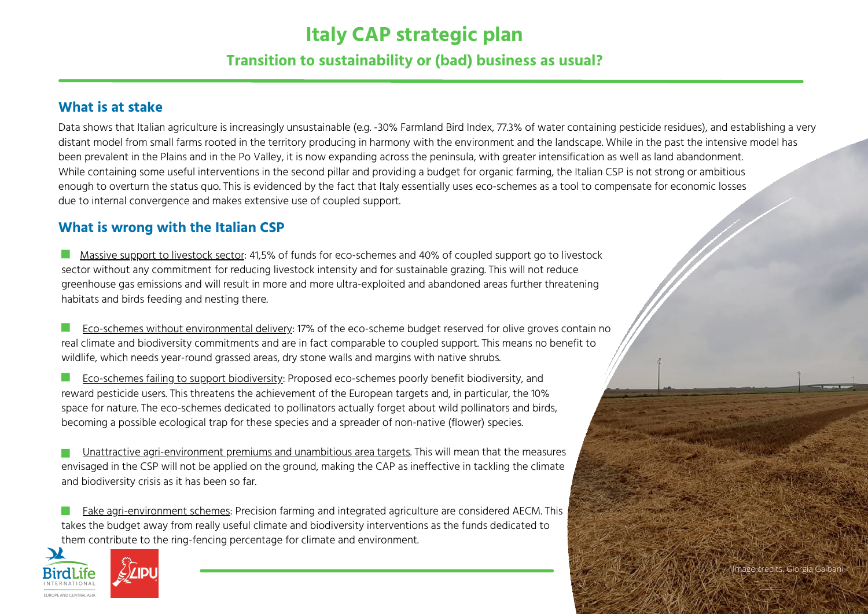# **Italy CAP strategic plan**

# **Transition to sustainability or (bad) business as usual?**

#### **What is at stake**

Data shows that Italian agriculture is increasingly unsustainable (e.g. -30% Farmland Bird Index, 77.3% of water containing pesticide residues), and establishing a very distant model from small farms rooted in the territory producing in harmony with the environment and the landscape. While in the past the intensive model has been prevalent in the Plains and in the Po Valley, it is now expanding across the peninsula, with greater intensification as well as land abandonment. While containing some useful interventions in the second pillar and providing a budget for organic farming, the Italian CSP is not strong or ambitious enough to overturn the status quo. This is evidenced by the fact that Italy essentially uses eco-schemes as a tool to compensate for economic losses due to internal convergence and makes extensive use of coupled support.

### **What is wrong with the Italian CSP**

 $\sim$ Massive support to livestock sector: 41,5% of funds for eco-schemes and 40% of coupled support go to livestock sector without any commitment for reducing livestock intensity and for sustainable grazing. This will not reduce greenhouse gas emissions and will result in more and more ultra-exploited and abandoned areas further threatening habitats and birds feeding and nesting there.

Eco-schemes without environmental delivery: 17% of the eco-scheme budget reserved for olive groves contain no H. real climate and biodiversity commitments and are in fact comparable to coupled support. This means no benefit to wildlife, which needs year-round grassed areas, dry stone walls and margins with native shrubs.

 $\sim$ Eco-schemes failing to support biodiversity: Proposed eco-schemes poorly benefit biodiversity, and reward pesticide users. This threatens the achievement of the European targets and, in particular, the 10% space for nature. The eco-schemes dedicated to pollinators actually forget about wild pollinators and birds, becoming a possible ecological trap for these species and a spreader of non-native (flower) species.

Unattractive agri-environment premiums and unambitious area targets. This will mean that the measures envisaged in the CSP will not be applied on the ground, making the CAP as ineffective in tackling the climate and biodiversity crisis as it has been so far.

Fake agri-environment schemes: Precision farming and integrated agriculture are considered AECM. This takes the budget away from really useful climate and biodiversity interventions as the funds dedicated to them contribute to the ring-fencing percentage for climate and environment.